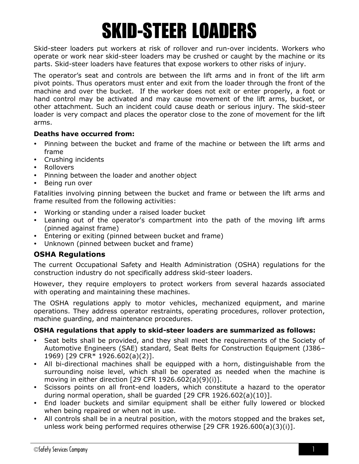# SKID-STEER LOADERS

Skid-steer loaders put workers at risk of rollover and run-over incidents. Workers who operate or work near skid-steer loaders may be crushed or caught by the machine or its parts. Skid-steer loaders have features that expose workers to other risks of injury.

The operator's seat and controls are between the lift arms and in front of the lift arm pivot points. Thus operators must enter and exit from the loader through the front of the machine and over the bucket. If the worker does not exit or enter properly, a foot or hand control may be activated and may cause movement of the lift arms, bucket, or other attachment. Such an incident could cause death or serious injury. The skid-steer loader is very compact and places the operator close to the zone of movement for the lift arms.

#### **Deaths have occurred from:**

- Pinning between the bucket and frame of the machine or between the lift arms and frame
- Crushing incidents
- Rollovers
- Pinning between the loader and another object
- Being run over

Fatalities involving pinning between the bucket and frame or between the lift arms and frame resulted from the following activities:

- Working or standing under a raised loader bucket
- Leaning out of the operator's compartment into the path of the moving lift arms (pinned against frame)
- Entering or exiting (pinned between bucket and frame)
- Unknown (pinned between bucket and frame)

# **OSHA Regulations**

The current Occupational Safety and Health Administration (OSHA) regulations for the construction industry do not specifically address skid-steer loaders.

However, they require employers to protect workers from several hazards associated with operating and maintaining these machines.

The OSHA regulations apply to motor vehicles, mechanized equipment, and marine operations. They address operator restraints, operating procedures, rollover protection, machine guarding, and maintenance procedures.

# **OSHA regulations that apply to skid-steer loaders are summarized as follows:**

- Seat belts shall be provided, and they shall meet the requirements of the Society of Automotive Engineers (SAE) standard, Seat Belts for Construction Equipment (J386– 1969) [29 CFR\* 1926.602(a)(2)].
- All bi-directional machines shall be equipped with a horn, distinguishable from the surrounding noise level, which shall be operated as needed when the machine is moving in either direction [29 CFR 1926.602(a)(9)(i)].
- Scissors points on all front-end loaders, which constitute a hazard to the operator during normal operation, shall be guarded [29 CFR 1926.602(a)(10)].
- End loader buckets and similar equipment shall be either fully lowered or blocked when being repaired or when not in use.
- All controls shall be in a neutral position, with the motors stopped and the brakes set, unless work being performed requires otherwise [29 CFR 1926.600(a)(3)(i)].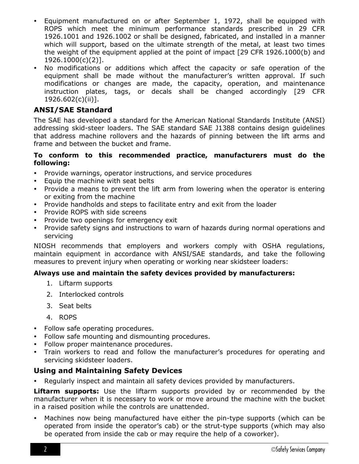- Equipment manufactured on or after September 1, 1972, shall be equipped with ROPS which meet the minimum performance standards prescribed in 29 CFR 1926.1001 and 1926.1002 or shall be designed, fabricated, and installed in a manner which will support, based on the ultimate strength of the metal, at least two times the weight of the equipment applied at the point of impact [29 CFR 1926.1000(b) and 1926.1000(c)(2)].
- No modifications or additions which affect the capacity or safe operation of the equipment shall be made without the manufacturer's written approval. If such modifications or changes are made, the capacity, operation, and maintenance instruction plates, tags, or decals shall be changed accordingly [29 CFR 1926.602(c)(ii)].

# **ANSI/SAE Standard**

The SAE has developed a standard for the American National Standards Institute (ANSI) addressing skid-steer loaders. The SAE standard SAE J1388 contains design guidelines that address machine rollovers and the hazards of pinning between the lift arms and frame and between the bucket and frame.

#### **To conform to this recommended practice, manufacturers must do the following:**

- Provide warnings, operator instructions, and service procedures
- Equip the machine with seat belts
- Provide a means to prevent the lift arm from lowering when the operator is entering or exiting from the machine
- Provide handholds and steps to facilitate entry and exit from the loader
- Provide ROPS with side screens
- Provide two openings for emergency exit
- Provide safety signs and instructions to warn of hazards during normal operations and servicing

NIOSH recommends that employers and workers comply with OSHA regulations, maintain equipment in accordance with ANSI/SAE standards, and take the following measures to prevent injury when operating or working near skidsteer loaders:

#### **Always use and maintain the safety devices provided by manufacturers:**

- 1. Liftarm supports
- 2. Interlocked controls
- 3. Seat belts
- 4. ROPS
- Follow safe operating procedures.
- Follow safe mounting and dismounting procedures.
- Follow proper maintenance procedures.
- Train workers to read and follow the manufacturer's procedures for operating and servicing skidsteer loaders.

# **Using and Maintaining Safety Devices**

Regularly inspect and maintain all safety devices provided by manufacturers.

**Liftarm supports:** Use the liftarm supports provided by or recommended by the manufacturer when it is necessary to work or move around the machine with the bucket in a raised position while the controls are unattended.

 Machines now being manufactured have either the pin-type supports (which can be operated from inside the operator's cab) or the strut-type supports (which may also be operated from inside the cab or may require the help of a coworker).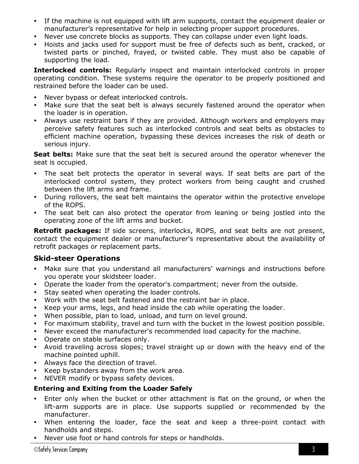- If the machine is not equipped with lift arm supports, contact the equipment dealer or manufacturer's representative for help in selecting proper support procedures.
- Never use concrete blocks as supports. They can collapse under even light loads.
- Hoists and jacks used for support must be free of defects such as bent, cracked, or twisted parts or pinched, frayed, or twisted cable. They must also be capable of supporting the load.

**Interlocked controls:** Regularly inspect and maintain interlocked controls in proper operating condition. These systems require the operator to be properly positioned and restrained before the loader can be used.

- Never bypass or defeat interlocked controls.
- Make sure that the seat belt is always securely fastened around the operator when the loader is in operation.
- Always use restraint bars if they are provided. Although workers and employers may perceive safety features such as interlocked controls and seat belts as obstacles to efficient machine operation, bypassing these devices increases the risk of death or serious injury.

**Seat belts:** Make sure that the seat belt is secured around the operator whenever the seat is occupied.

- The seat belt protects the operator in several ways. If seat belts are part of the interlocked control system, they protect workers from being caught and crushed between the lift arms and frame.
- During rollovers, the seat belt maintains the operator within the protective envelope of the ROPS.
- The seat belt can also protect the operator from leaning or being jostled into the operating zone of the lift arms and bucket.

**Retrofit packages:** If side screens, interlocks, ROPS, and seat belts are not present, contact the equipment dealer or manufacturer's representative about the availability of retrofit packages or replacement parts.

# **Skid-steer Operations**

- Make sure that you understand all manufacturers' warnings and instructions before you operate your skidsteer loader.
- Operate the loader from the operator's compartment; never from the outside.
- Stay seated when operating the loader controls.
- Work with the seat belt fastened and the restraint bar in place.
- Keep your arms, legs, and head inside the cab while operating the loader.
- When possible, plan to load, unload, and turn on level ground.
- For maximum stability, travel and turn with the bucket in the lowest position possible.
- Never exceed the manufacturer's recommended load capacity for the machine.
- Operate on stable surfaces only.
- Avoid traveling across slopes; travel straight up or down with the heavy end of the machine pointed uphill.
- Always face the direction of travel.
- Keep bystanders away from the work area.
- NEVER modify or bypass safety devices.

# **Entering and Exiting from the Loader Safely**

- Enter only when the bucket or other attachment is flat on the ground, or when the lift-arm supports are in place. Use supports supplied or recommended by the manufacturer.
- When entering the loader, face the seat and keep a three-point contact with handholds and steps.
- Never use foot or hand controls for steps or handholds.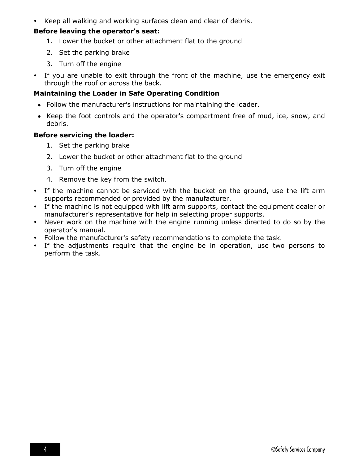Keep all walking and working surfaces clean and clear of debris.

#### **Before leaving the operator's seat:**

- 1. Lower the bucket or other attachment flat to the ground
- 2. Set the parking brake
- 3. Turn off the engine
- If you are unable to exit through the front of the machine, use the emergency exit through the roof or across the back.

# **Maintaining the Loader in Safe Operating Condition**

- Follow the manufacturer's instructions for maintaining the loader.
- Keep the foot controls and the operator's compartment free of mud, ice, snow, and debris.

# **Before servicing the loader:**

- 1. Set the parking brake
- 2. Lower the bucket or other attachment flat to the ground
- 3. Turn off the engine
- 4. Remove the key from the switch.
- If the machine cannot be serviced with the bucket on the ground, use the lift arm supports recommended or provided by the manufacturer.
- If the machine is not equipped with lift arm supports, contact the equipment dealer or manufacturer's representative for help in selecting proper supports.
- Never work on the machine with the engine running unless directed to do so by the operator's manual.
- Follow the manufacturer's safety recommendations to complete the task.
- If the adjustments require that the engine be in operation, use two persons to perform the task.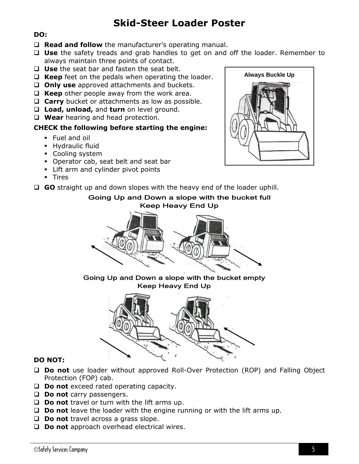# **Skid-Steer Loader Poster**

#### **DO:**

- □ Read and follow the manufacturer's operating manual.
- **Use** the safety treads and grab handles to get on and off the loader. Remember to always maintain three points of contact.
- **Use** the seat bar and fasten the seat belt.
- □ Keep feet on the pedals when operating the loader.
- **Only use** approved attachments and buckets.
- □ Keep other people away from the work area.
- **Carry** bucket or attachments as low as possible.
- **Load, unload,** and **turn** on level ground.
- **Wear** hearing and head protection.

#### **CHECK the following before starting the engine:**

- **Fuel and oil**
- **Hydraulic fluid**
- Cooling system
- Operator cab, seat belt and seat bar
- **EXECUTE:** Lift arm and cylinder pivot points
- **-** Tires



# Going Up and Down a slope with the bucket full **Keep Heavy End Up**



Going Up and Down a slope with the bucket empty **Keep Heavy End Up** 



#### **DO NOT:**

- **Do not** use loader without approved Roll-Over Protection (ROP) and Falling Object Protection (FOP) cab.
- **Do not** exceed rated operating capacity.
- **Do not** carry passengers.
- **Do not** travel or turn with the lift arms up.
- **Do not** leave the loader with the engine running or with the lift arms up.
- **Do not** travel across a grass slope.
- □ **Do not** approach overhead electrical wires.